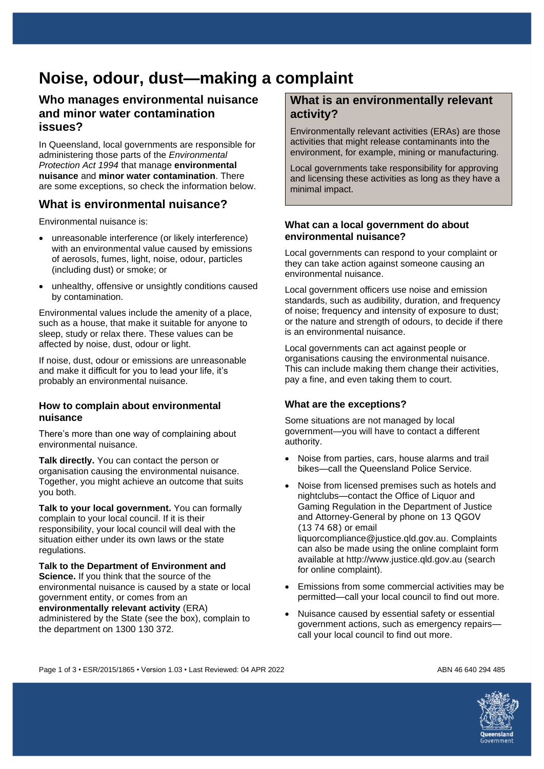# **Noise, odour, dust—making a complaint**

### **Who manages environmental nuisance and minor water contamination issues?**

In Queensland, local governments are responsible for administering those parts of the *Environmental Protection Act 1994* that manage **environmental nuisance** and **minor water contamination**. There are some exceptions, so check the information below.

# **What is environmental nuisance?**

Environmental nuisance is:

- unreasonable interference (or likely interference) with an environmental value caused by emissions of aerosols, fumes, light, noise, odour, particles (including dust) or smoke; or
- unhealthy, offensive or unsightly conditions caused by contamination.

Environmental values include the amenity of a place, such as a house, that make it suitable for anyone to sleep, study or relax there. These values can be affected by noise, dust, odour or light.

If noise, dust, odour or emissions are unreasonable and make it difficult for you to lead your life, it's probably an environmental nuisance.

#### **How to complain about environmental nuisance**

There's more than one way of complaining about environmental nuisance.

**Talk directly.** You can contact the person or organisation causing the environmental nuisance. Together, you might achieve an outcome that suits you both.

**Talk to your local government.** You can formally complain to your local council. If it is their responsibility, your local council will deal with the situation either under its own laws or the state regulations.

**Talk to the Department of Environment and Science.** If you think that the source of the environmental nuisance is caused by a state or local government entity, or comes from an

**environmentally relevant activity** (ERA) administered by the State (see the box), complain to the department on 1300 130 372.

### **What is an environmentally relevant activity?**

Environmentally relevant activities (ERAs) are those activities that might release contaminants into the environment, for example, mining or manufacturing.

Local governments take responsibility for approving and licensing these activities as long as they have a minimal impact.

#### **What can a local government do about environmental nuisance?**

Local governments can respond to your complaint or they can take action against someone causing an environmental nuisance.

Local government officers use noise and emission standards, such as audibility, duration, and frequency of noise; frequency and intensity of exposure to dust; or the nature and strength of odours, to decide if there is an environmental nuisance.

Local governments can act against people or organisations causing the environmental nuisance. This can include making them change their activities, pay a fine, and even taking them to court.

### **What are the exceptions?**

Some situations are not managed by local government—you will have to contact a different authority.

- Noise from parties, cars, house alarms and trail bikes—call the Queensland Police Service.
- Noise from licensed premises such as hotels and nightclubs—contact the Office of Liquor and Gaming Regulation in the Department of Justice and Attorney-General by phone on 13 QGOV (13 74 68) or email liquorcompliance@justice.qld.gov.au. Complaints can also be made using the online complaint form available at http://www.justice.qld.gov.au (search for online complaint).
- Emissions from some commercial activities may be permitted—call your local council to find out more.
- Nuisance caused by essential safety or essential government actions, such as emergency repairs call your local council to find out more.

Page 1 of 3 • ESR/2015/1865 • Version 1.03 • Last Reviewed: 04 APR 2022 ABN 46640 294 485

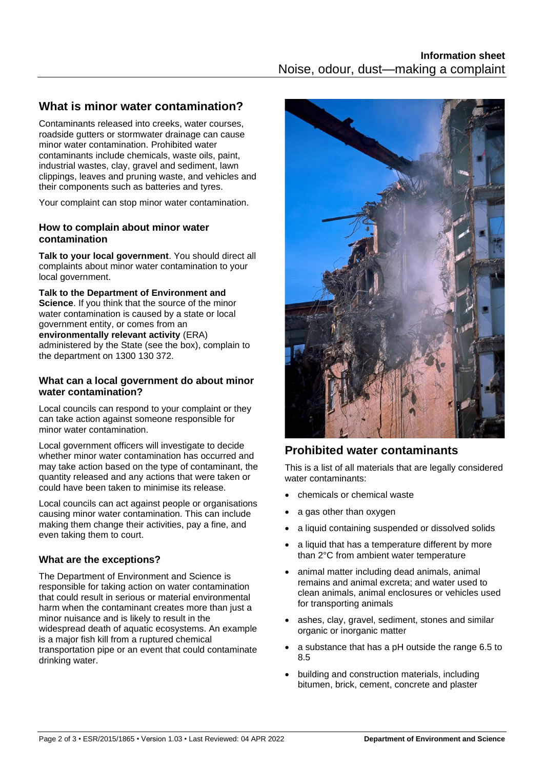# **What is minor water contamination?**

Contaminants released into creeks, water courses, roadside gutters or stormwater drainage can cause minor water contamination. Prohibited water contaminants include chemicals, waste oils, paint, industrial wastes, clay, gravel and sediment, lawn clippings, leaves and pruning waste, and vehicles and their components such as batteries and tyres.

Your complaint can stop minor water contamination.

### **How to complain about minor water contamination**

**Talk to your local government**. You should direct all complaints about minor water contamination to your local government.

**Talk to the Department of Environment and Science.** If you think that the source of the minor water contamination is caused by a state or local government entity, or comes from an

**environmentally relevant activity** (ERA)

administered by the State (see the box), complain to the department on 1300 130 372.

#### **What can a local government do about minor water contamination?**

Local councils can respond to your complaint or they can take action against someone responsible for minor water contamination.

Local government officers will investigate to decide whether minor water contamination has occurred and may take action based on the type of contaminant, the quantity released and any actions that were taken or could have been taken to minimise its release.

Local councils can act against people or organisations causing minor water contamination. This can include making them change their activities, pay a fine, and even taking them to court.

### **What are the exceptions?**

The Department of Environment and Science is responsible for taking action on water contamination that could result in serious or material environmental harm when the contaminant creates more than just a minor nuisance and is likely to result in the widespread death of aquatic ecosystems. An example is a major fish kill from a ruptured chemical transportation pipe or an event that could contaminate drinking water.



# **Prohibited water contaminants**

This is a list of all materials that are legally considered water contaminants:

- chemicals or chemical waste
- a gas other than oxygen
- a liquid containing suspended or dissolved solids
- a liquid that has a temperature different by more than 2°C from ambient water temperature
- animal matter including dead animals, animal remains and animal excreta; and water used to clean animals, animal enclosures or vehicles used for transporting animals
- ashes, clay, gravel, sediment, stones and similar organic or inorganic matter
- a substance that has a pH outside the range 6.5 to 8.5
- building and construction materials, including bitumen, brick, cement, concrete and plaster